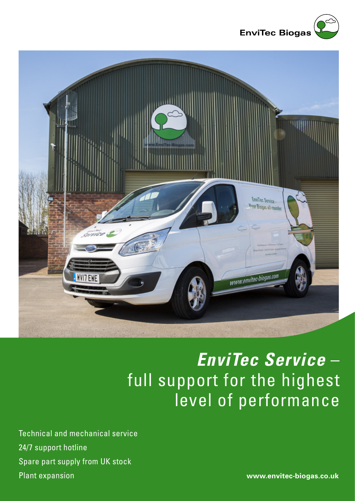



## *EnviTec Service* – full support for the highest level of performance

Technical and mechanical service 24/7 support hotline Spare part supply from UK stock Plant expansion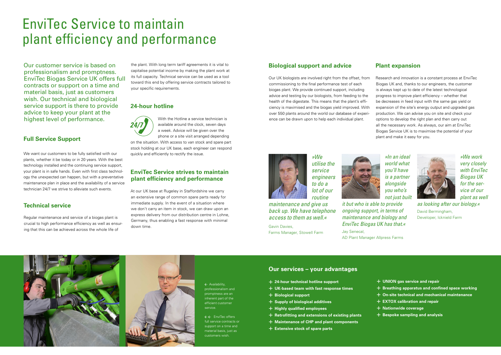Our customer service is based on professionalism and promptness. EnviTec Biogas Service UK offers full contracts or support on a time and material basis, just as customers wish. Our technical and biological service support is there to provide advice to keep your plant at the highest level of performance.

#### **Full Service Support**

We want our customers to be fully satisfied with our plants, whether it be today or in 20 years. With the best technology installed and the continuing service support, your plant is in safe hands. Even with first class technology the unexpected can happen, but with a preventative maintenance plan in place and the availability of a service technician 24/7 we strive to alleviate such events.

### **Technical service**

Regular maintenance and service of a biogas plant is crucial to high performance efficiency as well as ensuring that this can be achieved across the whole life of

> $\leftarrow$  Availability professionalism and promptness are an inherent part of the efficient customer service.

the plant. With long term tariff agreements it is vital to capitalise potential income by making the plant work at its full capacity. Technical service can be used as a tool toward this end by offering service contracts tailored to your specific requirements.

> $\leftarrow$  EnviTec offers full service contracts or support on a time and material basis, just as customers wish.

### **24-hour hotline**

With the Hotline a service technician is available around the clock, seven days a week. Advice will be given over the phone or a site visit arranged depending on the situation. With access to van stock and spare part Our UK biologists are involved right from the offset, from commissioning to the final performance test of each biogas plant. We provide continued support, including advice and testing by our biologists, from feeding to the health of the digestate. This means that the plant's efficiency is maximised and the biogas yield improved. With over 550 plants around the world our database of experience can be drawn upon to help each individual plant.

stock holding at our UK base, each engineer can respond quickly and efficiently to rectify the issue.

#### **EnviTec Service strives to maintain plant efficiency and performance**

At our UK base at Rugeley in Staffordshire we carry an extensive range of common spare parts ready for immediate supply. In the event of a situation where we don't carry an item in stock, we can draw upon an express delivery from our distribution centre in Lohne, Germany, thus enabling a fast response with minimal down time.



# EnviTec Service to maintain plant efficiency and performance

## **Biological support and advice**

#### **Plant expansion**

Research and innovation is a constant process at EnviTec Biogas UK and, thanks to our engineers, the customer is always kept up to date of the latest technological progress to improve plant efficiency – whether that be decreases in feed input with the same gas yield or expansion of the site's energy output and upgraded gas production. We can advise you on site and check your options to develop the right plan and then carry out all the necessary work. As always, our aim at EnviTec Biogas Service UK is to maximise the potential of your plant and make it easy for you.



*»We utilise the service engineers to do a lot of our routine* 

*maintenance and give us back up. We have telephone access to them as well.«*

Gavin Davies, Farms Manager, Stowell Farm

*»We work very closely with EnviTec Biogas UK for the service of our plant as well as looking after our biology.«*

David Bermingham, Developer, Icknield Farm



*»In an ideal world what you'll have is a partner alongside you who's not just built it but who is able to provide ongoing support, in terms of maintenance and biology and* 



*EnviTec Biogas UK has that.«* Jay Senecal, AD Plant Manager Allpress Farms





#### **Our services – your advantages**

- + **24-hour technical hotline support**
- + **UK-based team with fast response times**
- + **Biological support**
- + **Supply of biological additives**
- + **Highly qualified employees**
- + **Retrofitting and extensions of existing plants**
- + **Maintenance of CHP and plant components**
- + **Extensive stock of spare parts**

#### + **UNION gas service and repair**

- + **Breathing apparatus and confined space working**
- + **On-site technical and mechanical maintenance**
- + **EXTOX calibration and repair**
- + **Nationwide coverage**
- + **Bespoke sampling and analysis**